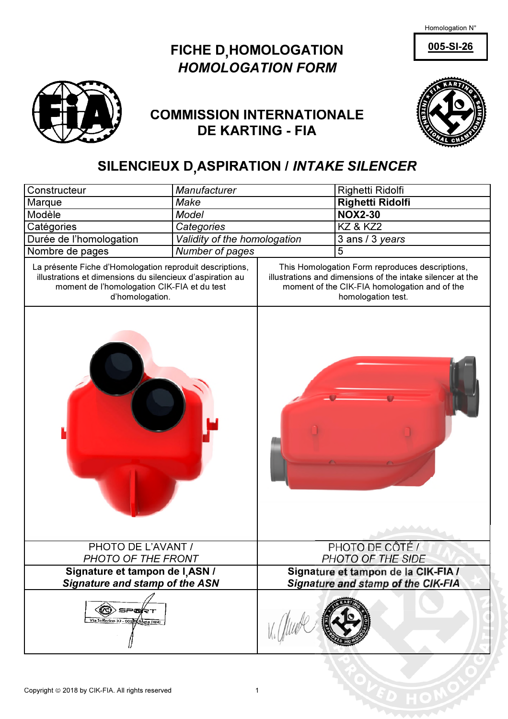Homologation N°

 $005-SI-26$ 





## **COMMISSION INTERNATIONALE DE KARTING - FIA**



## SILENCIEUX D<sub>,</sub>ASPIRATION / *INTAKE SILENCER*

| Manufacturer<br>Constructeur                                                                                                                                                            |                              | Righetti Ridolfi                                                                                                                                                                     |                         |  |
|-----------------------------------------------------------------------------------------------------------------------------------------------------------------------------------------|------------------------------|--------------------------------------------------------------------------------------------------------------------------------------------------------------------------------------|-------------------------|--|
| Make<br>Marque                                                                                                                                                                          |                              |                                                                                                                                                                                      | <b>Righetti Ridolfi</b> |  |
| Modèle                                                                                                                                                                                  | <b>Model</b>                 |                                                                                                                                                                                      | <b>NOX2-30</b>          |  |
| Catégories                                                                                                                                                                              | Categories                   |                                                                                                                                                                                      | <b>KZ &amp; KZ2</b>     |  |
| Durée de l'homologation                                                                                                                                                                 | Validity of the homologation |                                                                                                                                                                                      | 3 ans / 3 years         |  |
| Nombre de pages                                                                                                                                                                         | Number of pages              |                                                                                                                                                                                      | 5                       |  |
| La présente Fiche d'Homologation reproduit descriptions,<br>illustrations et dimensions du silencieux d'aspiration au<br>moment de l'homologation CIK-FIA et du test<br>d'homologation. |                              | This Homologation Form reproduces descriptions,<br>illustrations and dimensions of the intake silencer at the<br>moment of the CIK-FIA homologation and of the<br>homologation test. |                         |  |
|                                                                                                                                                                                         |                              |                                                                                                                                                                                      |                         |  |
| PHOTO DE L'AVANT /                                                                                                                                                                      |                              | PHOTO DE CÔTÉ /                                                                                                                                                                      |                         |  |
| PHOTO OF THE FRONT<br>Signature et tampon de I,ASN /                                                                                                                                    |                              | PHOTO OF THE SIDE<br>Signature et tampon de la CIK-FIA /                                                                                                                             |                         |  |
| <b>Signature and stamp of the ASN</b>                                                                                                                                                   |                              | Signature and stamp of the CIK-FIA                                                                                                                                                   |                         |  |
| SP®kt<br>Vía Solferino 32 - 001 9 (Roma (RM)                                                                                                                                            |                              |                                                                                                                                                                                      |                         |  |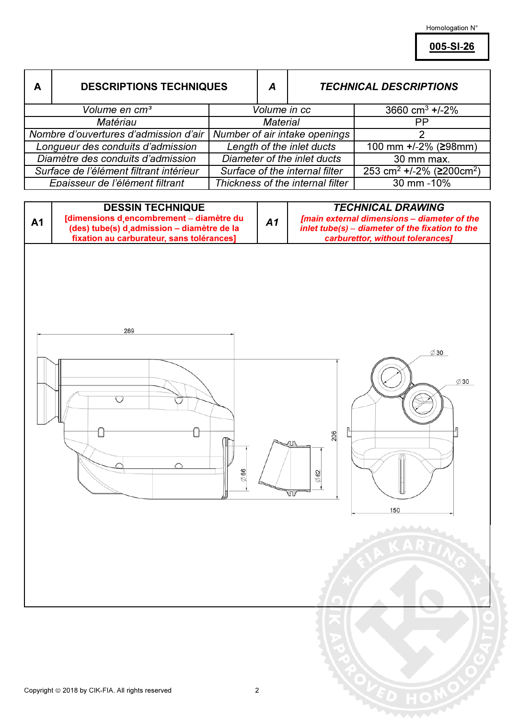Homologation  $\mathsf{N}^\circ$ 

005-SI-26

| A                                                                                                 | <b>DESCRIPTIONS TECHNIQUES</b>                                                           |                                  | $\boldsymbol{A}$                                                                    | <b>TECHNICAL DESCRIPTIONS</b> |                                                                         |  |
|---------------------------------------------------------------------------------------------------|------------------------------------------------------------------------------------------|----------------------------------|-------------------------------------------------------------------------------------|-------------------------------|-------------------------------------------------------------------------|--|
|                                                                                                   | Volume en cm <sup>3</sup>                                                                |                                  | Volume in cc                                                                        |                               | 3660 cm <sup>3</sup> +/-2%                                              |  |
| Matériau                                                                                          |                                                                                          |                                  | <b>Material</b>                                                                     |                               | PP                                                                      |  |
|                                                                                                   | Nombre d'ouvertures d'admission d'air                                                    |                                  |                                                                                     | Number of air intake openings | $\overline{2}$                                                          |  |
|                                                                                                   | Longueur des conduits d'admission                                                        |                                  | Length of the inlet ducts                                                           |                               | 100 mm +/-2% (≥98mm)                                                    |  |
| Diamètre des conduits d'admission                                                                 |                                                                                          | Diameter of the inlet ducts      |                                                                                     |                               | 30 mm max.                                                              |  |
|                                                                                                   | Surface de l'élément filtrant intérieur                                                  |                                  | Surface of the internal filter                                                      |                               | 253 cm <sup>2</sup> +/-2% (≥200cm <sup>2</sup> )                        |  |
| Epaisseur de l'élément filtrant                                                                   |                                                                                          | Thickness of the internal filter |                                                                                     |                               | 30 mm -10%                                                              |  |
| <b>DESSIN TECHNIQUE</b><br>[dimensions d, encombrement - diamètre du<br>A1                        |                                                                                          | A1                               |                                                                                     |                               | <b>TECHNICAL DRAWING</b><br>[main external dimensions - diameter of the |  |
|                                                                                                   | (des) tube(s) d, admission - diamètre de la<br>fixation au carburateur, sans tolérances] |                                  | inlet tube(s) - diameter of the fixation to the<br>carburettor, without tolerances] |                               |                                                                         |  |
| 289<br>$\emptyset$ 30<br>$\emptyset$ 30<br>◯<br>206<br>i.<br>$\oslash$ 66<br>62<br>Ø<br>ЛÞ<br>150 |                                                                                          |                                  |                                                                                     |                               |                                                                         |  |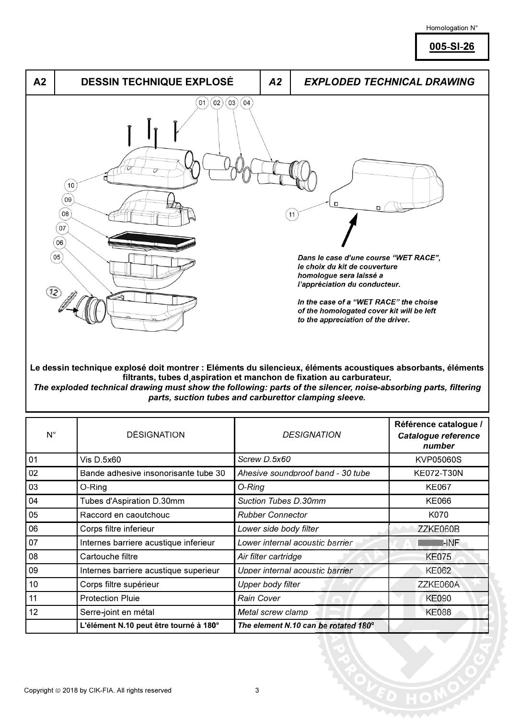## Homologation N°

005-SI-26